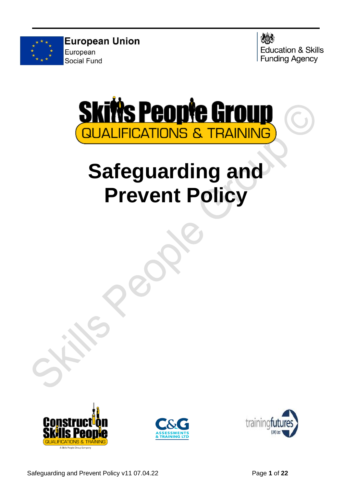

**European Union** European Social Fund





# **Safeguarding and Prevent Policy**





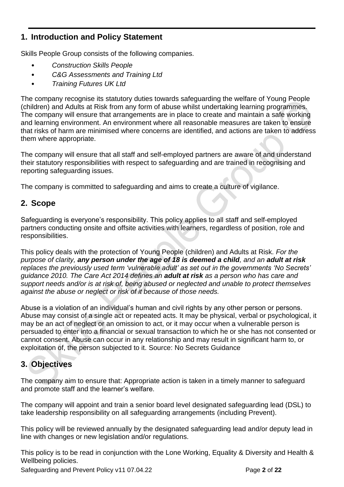## **1. Introduction and Policy Statement**

Skills People Group consists of the following companies.

- *Construction Skills People*
- *C&G Assessments and Training Ltd*
- *Training Futures UK Ltd*

The company recognise its statutory duties towards safeguarding the welfare of Young People (children) and Adults at Risk from any form of abuse whilst undertaking learning programmes. The company will ensure that arrangements are in place to create and maintain a safe working and learning environment. An environment where all reasonable measures are taken to ensure that risks of harm are minimised where concerns are identified, and actions are taken to address them where appropriate.

The company will ensure that all staff and self-employed partners are aware of and understand their statutory responsibilities with respect to safeguarding and are trained in recognising and reporting safeguarding issues.

The company is committed to safeguarding and aims to create a culture of vigilance.

### **2. Scope**

Safeguarding is everyone's responsibility. This policy applies to all staff and self-employed partners conducting onsite and offsite activities with learners, regardless of position, role and responsibilities.

This policy deals with the protection of Young People (children) and Adults at Risk. *For the purpose of clarity, any person under the age of 18 is deemed a child, and an adult at risk replaces the previously used term 'vulnerable adult' as set out in the governments 'No Secrets' guidance 2010. The Care Act 2014 defines an adult at risk as a person who has care and support needs and/or is at risk of, being abused or neglected and unable to protect themselves against the abuse or neglect or risk of it because of those needs.*

Abuse is a violation of an individual's human and civil rights by any other person or persons. Abuse may consist of a single act or repeated acts. It may be physical, verbal or psychological, it may be an act of neglect or an omission to act, or it may occur when a vulnerable person is persuaded to enter into a financial or sexual transaction to which he or she has not consented or cannot consent. Abuse can occur in any relationship and may result in significant harm to, or exploitation of, the person subjected to it. Source: No Secrets Guidance

## **3. Objectives**

The company aim to ensure that: Appropriate action is taken in a timely manner to safeguard and promote staff and the learner's welfare.

The company will appoint and train a senior board level designated safeguarding lead (DSL) to take leadership responsibility on all safeguarding arrangements (including Prevent).

This policy will be reviewed annually by the designated safeguarding lead and/or deputy lead in line with changes or new legislation and/or regulations.

This policy is to be read in conjunction with the Lone Working, Equality & Diversity and Health & Wellbeing policies.

Safeguarding and Prevent Policy v11 07.04.22 Page 2 of 22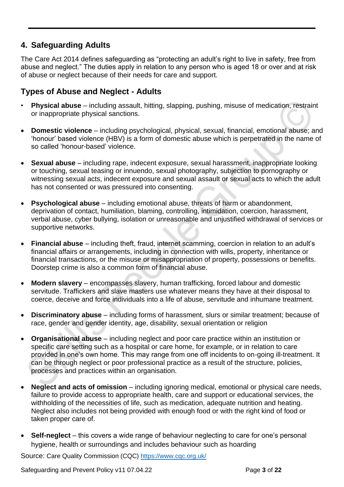## **4. Safeguarding Adults**

The Care Act 2014 defines safeguarding as "protecting an adult's right to live in safety, free from abuse and neglect." The duties apply in relation to any person who is aged 18 or over and at risk of abuse or neglect because of their needs for care and support.

## **Types of Abuse and Neglect - Adults**

- **Physical abuse**  including assault, hitting, slapping, pushing, misuse of medication, restraint or inappropriate physical sanctions.
- **Domestic violence**  including psychological, physical, sexual, financial, emotional abuse; and 'honour' based violence (HBV) is a form of domestic abuse which is perpetrated in the name of so called 'honour-based' violence.
- **Sexual abuse**  including rape, indecent exposure, sexual harassment, inappropriate looking or touching, sexual teasing or innuendo, sexual photography, subjection to pornography or witnessing sexual acts, indecent exposure and sexual assault or sexual acts to which the adult has not consented or was pressured into consenting.
- **Psychological abuse** including emotional abuse, threats of harm or abandonment, deprivation of contact, humiliation, blaming, controlling, intimidation, coercion, harassment, verbal abuse, cyber bullying, isolation or unreasonable and unjustified withdrawal of services or supportive networks.
- **Financial abuse**  including theft, fraud, internet scamming, coercion in relation to an adult's financial affairs or arrangements, including in connection with wills, property, inheritance or financial transactions, or the misuse or misappropriation of property, possessions or benefits. Doorstep crime is also a common form of financial abuse.
- **Modern slavery**  encompasses slavery, human trafficking, forced labour and domestic servitude. Traffickers and slave masters use whatever means they have at their disposal to coerce, deceive and force individuals into a life of abuse, servitude and inhumane treatment.
- **Discriminatory abuse**  including forms of harassment, slurs or similar treatment; because of race, gender and gender identity, age, disability, sexual orientation or religion
- **Organisational abuse**  including neglect and poor care practice within an institution or specific care setting such as a hospital or care home, for example, or in relation to care provided in one's own home. This may range from one off incidents to on-going ill-treatment. It can be through neglect or poor professional practice as a result of the structure, policies, processes and practices within an organisation.
- **Neglect and acts of omission** including ignoring medical, emotional or physical care needs, failure to provide access to appropriate health, care and support or educational services, the withholding of the necessities of life, such as medication, adequate nutrition and heating. Neglect also includes not being provided with enough food or with the right kind of food or taken proper care of.
- **Self-neglect** this covers a wide range of behaviour neglecting to care for one's personal hygiene, health or surroundings and includes behaviour such as hoarding

Source: Care Quality Commission (CQC) <https://www.cqc.org.uk/>

Safeguarding and Prevent Policy v11 07.04.22 Page **3** of **22**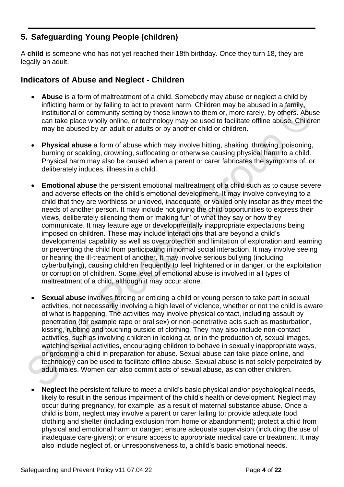## **5. Safeguarding Young People (children)**

A **child** is someone who has not yet reached their 18th birthday. Once they turn 18, they are legally an adult.

#### **Indicators of Abuse and Neglect - Children**

- **Abuse** is a form of maltreatment of a child. Somebody may abuse or neglect a child by inflicting harm or by failing to act to prevent harm. Children may be abused in a family, institutional or community setting by those known to them or, more rarely, by others. Abuse can take place wholly online, or technology may be used to facilitate offline abuse. Children may be abused by an adult or adults or by another child or children.
- **Physical abuse** a form of abuse which may involve hitting, shaking, throwing, poisoning, burning or scalding, drowning, suffocating or otherwise causing physical harm to a child. Physical harm may also be caused when a parent or carer fabricates the symptoms of, or deliberately induces, illness in a child.
- **Emotional abuse** the persistent emotional maltreatment of a child such as to cause severe and adverse effects on the child's emotional development. It may involve conveying to a child that they are worthless or unloved, inadequate, or valued only insofar as they meet the needs of another person. It may include not giving the child opportunities to express their views, deliberately silencing them or 'making fun' of what they say or how they communicate. It may feature age or developmentally inappropriate expectations being imposed on children. These may include interactions that are beyond a child's developmental capability as well as overprotection and limitation of exploration and learning or preventing the child from participating in normal social interaction. It may involve seeing or hearing the ill-treatment of another. It may involve serious bullying (including cyberbullying), causing children frequently to feel frightened or in danger, or the exploitation or corruption of children. Some level of emotional abuse is involved in all types of maltreatment of a child, although it may occur alone.
- **Sexual abuse** involves forcing or enticing a child or young person to take part in sexual activities, not necessarily involving a high level of violence, whether or not the child is aware of what is happening. The activities may involve physical contact, including assault by penetration (for example rape or oral sex) or non-penetrative acts such as masturbation, kissing, rubbing and touching outside of clothing. They may also include non-contact activities, such as involving children in looking at, or in the production of, sexual images, watching sexual activities, encouraging children to behave in sexually inappropriate ways, or grooming a child in preparation for abuse. Sexual abuse can take place online, and technology can be used to facilitate offline abuse. Sexual abuse is not solely perpetrated by adult males. Women can also commit acts of sexual abuse, as can other children.
- **Neglect** the persistent failure to meet a child's basic physical and/or psychological needs, likely to result in the serious impairment of the child's health or development. Neglect may occur during pregnancy, for example, as a result of maternal substance abuse. Once a child is born, neglect may involve a parent or carer failing to: provide adequate food, clothing and shelter (including exclusion from home or abandonment); protect a child from physical and emotional harm or danger; ensure adequate supervision (including the use of inadequate care-givers); or ensure access to appropriate medical care or treatment. It may also include neglect of, or unresponsiveness to, a child's basic emotional needs.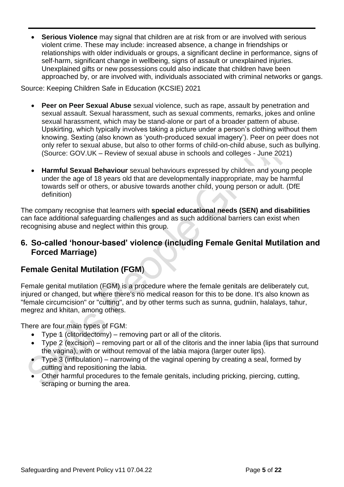• **Serious Violence** may signal that children are at risk from or are involved with serious violent crime. These may include: increased absence, a change in friendships or relationships with older individuals or groups, a significant decline in performance, signs of self-harm, significant change in wellbeing, signs of assault or unexplained injuries. Unexplained gifts or new possessions could also indicate that children have been approached by, or are involved with, individuals associated with criminal networks or gangs.

Source: Keeping Children Safe in Education (KCSIE) 2021

- **Peer on Peer Sexual Abuse** sexual violence, such as rape, assault by penetration and sexual assault. Sexual harassment, such as sexual comments, remarks, jokes and online sexual harassment, which may be stand-alone or part of a broader pattern of abuse. Upskirting, which typically involves taking a picture under a person's clothing without them knowing. Sexting (also known as 'youth-produced sexual imagery'). Peer on peer does not only refer to sexual abuse, but also to other forms of child-on-child abuse, such as bullying. (Source: GOV.UK – Review of sexual abuse in schools and colleges - June 2021)
- **Harmful Sexual Behaviour** sexual behaviours expressed by children and young people under the age of 18 years old that are developmentally inappropriate, may be harmful towards self or others, or abusive towards another child, young person or adult. (DfE definition)

The company recognise that learners with **special educational needs (SEN) and disabilities** can face additional safeguarding challenges and as such additional barriers can exist when recognising abuse and neglect within this group.

#### **6. So-called 'honour-based' violence (including Female Genital Mutilation and Forced Marriage)**

## **Female Genital Mutilation (FGM**)

Female genital mutilation (FGM) is a procedure where the female genitals are deliberately cut, injured or changed, but where there's no medical reason for this to be done. It's also known as "female circumcision" or "cutting", and by other terms such as sunna, gudniin, halalays, tahur, megrez and khitan, among others.

There are four main types of FGM:

- Type 1 (clitoridectomy) removing part or all of the clitoris.
- Type 2 (excision) removing part or all of the clitoris and the inner labia (lips that surround the vagina), with or without removal of the labia majora (larger outer lips).
- Type 3 (infibulation) narrowing of the vaginal opening by creating a seal, formed by cutting and repositioning the labia.
- Other harmful procedures to the female genitals, including pricking, piercing, cutting, scraping or burning the area.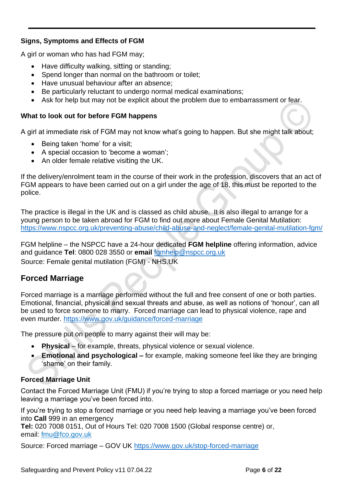#### **Signs, Symptoms and Effects of FGM**

A girl or woman who has had FGM may;

- Have difficulty walking, sitting or standing;
- Spend longer than normal on the bathroom or toilet;
- Have unusual behaviour after an absence;
- Be particularly reluctant to undergo normal medical examinations;
- Ask for help but may not be explicit about the problem due to embarrassment or fear.

#### **What to look out for before FGM happens**

A girl at immediate risk of FGM may not know what's going to happen. But she might talk about;

- Being taken 'home' for a visit;
- A special occasion to 'become a woman';
- An older female relative visiting the UK.

If the delivery/enrolment team in the course of their work in the profession, discovers that an act of FGM appears to have been carried out on a girl under the age of 18, this must be reported to the police.

The practice is illegal in the UK and is classed as child abuse. It is also illegal to arrange for a young person to be taken abroad for FGM to find out more about Female Genital Mutilation: <https://www.nspcc.org.uk/preventing-abuse/child-abuse-and-neglect/female-genital-mutilation-fgm/>

FGM helpline – the NSPCC have a 24-hour dedicated **FGM helpline** offering information, advice and guidance **Tel**: 0800 028 3550 or **email** [fgmhelp@nspcc.org.uk](mailto:fgmhelp@nspcc.org.uk) Source: Female genital mutilation (FGM) - NHS.UK

## **Forced Marriage**

Forced marriage is a marriage performed without the full and free consent of one or both parties. Emotional, financial, physical and sexual threats and abuse, as well as notions of 'honour', can all be used to force someone to marry. Forced marriage can lead to physical violence, rape and even murder.<https://www.gov.uk/guidance/forced-marriage>

The pressure put on people to marry against their will may be:

- **Physical** for example, threats, physical violence or sexual violence.
- **Emotional and psychological –** for example, making someone feel like they are bringing 'shame' on their family.

#### **Forced Marriage Unit**

Contact the Forced Marriage Unit (FMU) if you're trying to stop a forced marriage or you need help leaving a marriage you've been forced into.

If you're trying to stop a forced marriage or you need help leaving a marriage you've been forced into **Call** 999 in an emergency **Tel:** 020 7008 0151, Out of Hours Tel: 020 7008 1500 (Global response centre) or, email: [fmu@fco.gov.uk](mailto:fmu@fco.gov.uk)

Source: Forced marriage – GOV UK <https://www.gov.uk/stop-forced-marriage>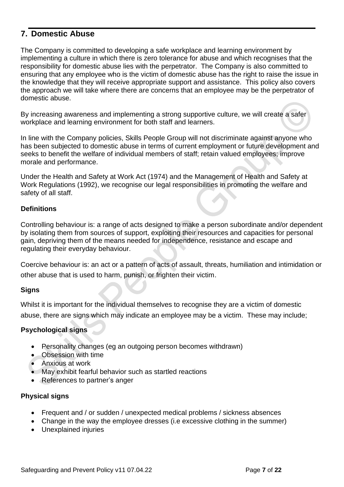## **7. Domestic Abuse**

The Company is committed to developing a safe workplace and learning environment by implementing a culture in which there is zero tolerance for abuse and which recognises that the responsibility for domestic abuse lies with the perpetrator. The Company is also committed to ensuring that any employee who is the victim of domestic abuse has the right to raise the issue in the knowledge that they will receive appropriate support and assistance. This policy also covers the approach we will take where there are concerns that an employee may be the perpetrator of domestic abuse.

By increasing awareness and implementing a strong supportive culture, we will create a safer workplace and learning environment for both staff and learners.

In line with the Company policies, Skills People Group will not discriminate against anyone who has been subjected to domestic abuse in terms of current employment or future development and seeks to benefit the welfare of individual members of staff; retain valued employees; improve morale and performance.

Under the Health and Safety at Work Act (1974) and the Management of Health and Safety at Work Regulations (1992), we recognise our legal responsibilities in promoting the welfare and safety of all staff.

#### **Definitions**

Controlling behaviour is: a range of acts designed to make a person subordinate and/or dependent by isolating them from sources of support, exploiting their resources and capacities for personal gain, depriving them of the means needed for independence, resistance and escape and regulating their everyday behaviour.

Coercive behaviour is: an act or a pattern of acts of assault, threats, humiliation and intimidation or other abuse that is used to harm, punish, or frighten their victim.

#### **Signs**

Whilst it is important for the individual themselves to recognise they are a victim of domestic abuse, there are signs which may indicate an employee may be a victim. These may include;

#### **Psychological signs**

- Personality changes (eg an outgoing person becomes withdrawn)
- Obsession with time
- Anxious at work
- May exhibit fearful behavior such as startled reactions
- References to partner's anger

#### **Physical signs**

- Frequent and / or sudden / unexpected medical problems / sickness absences
- Change in the way the employee dresses (i.e excessive clothing in the summer)
- Unexplained injuries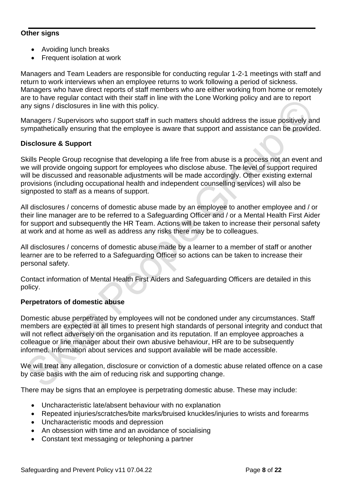#### **Other signs**

- Avoiding lunch breaks
- Frequent isolation at work

Managers and Team Leaders are responsible for conducting regular 1-2-1 meetings with staff and return to work interviews when an employee returns to work following a period of sickness. Managers who have direct reports of staff members who are either working from home or remotely are to have regular contact with their staff in line with the Lone Working policy and are to report any signs / disclosures in line with this policy.

Managers / Supervisors who support staff in such matters should address the issue positively and sympathetically ensuring that the employee is aware that support and assistance can be provided.

#### **Disclosure & Support**

Skills People Group recognise that developing a life free from abuse is a process not an event and we will provide ongoing support for employees who disclose abuse. The level of support required will be discussed and reasonable adjustments will be made accordingly. Other existing external provisions (including occupational health and independent counselling services) will also be signposted to staff as a means of support.

All disclosures / concerns of domestic abuse made by an employee to another employee and / or their line manager are to be referred to a Safeguarding Officer and / or a Mental Health First Aider for support and subsequently the HR Team. Actions will be taken to increase their personal safety at work and at home as well as address any risks there may be to colleagues.

All disclosures / concerns of domestic abuse made by a learner to a member of staff or another learner are to be referred to a Safeguarding Officer so actions can be taken to increase their personal safety.

Contact information of Mental Health First Aiders and Safeguarding Officers are detailed in this policy.

#### **Perpetrators of domestic abuse**

Domestic abuse perpetrated by employees will not be condoned under any circumstances. Staff members are expected at all times to present high standards of personal integrity and conduct that will not reflect adversely on the organisation and its reputation. If an employee approaches a colleague or line manager about their own abusive behaviour, HR are to be subsequently informed. Information about services and support available will be made accessible.

We will treat any allegation, disclosure or conviction of a domestic abuse related offence on a case by case basis with the aim of reducing risk and supporting change.

There may be signs that an employee is perpetrating domestic abuse. These may include:

- Uncharacteristic late/absent behaviour with no explanation
- Repeated injuries/scratches/bite marks/bruised knuckles/injuries to wrists and forearms
- Uncharacteristic moods and depression
- An obsession with time and an avoidance of socialising
- Constant text messaging or telephoning a partner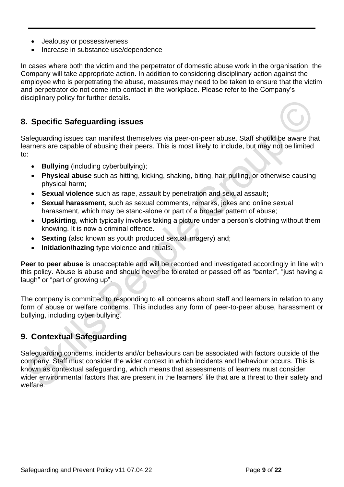- Jealousy or possessiveness
- Increase in substance use/dependence

In cases where both the victim and the perpetrator of domestic abuse work in the organisation, the Company will take appropriate action. In addition to considering disciplinary action against the employee who is perpetrating the abuse, measures may need to be taken to ensure that the victim and perpetrator do not come into contact in the workplace. Please refer to the Company's disciplinary policy for further details.

## **8. Specific Safeguarding issues**

Safeguarding issues can manifest themselves via peer-on-peer abuse. Staff should be aware that learners are capable of abusing their peers. This is most likely to include, but may not be limited to:

- **Bullying** (including cyberbullying);
- **Physical abuse** such as hitting, kicking, shaking, biting, hair pulling, or otherwise causing physical harm;
- **Sexual violence** such as rape, assault by penetration and sexual assault**;**
- **Sexual harassment,** such as sexual comments, remarks, jokes and online sexual harassment, which may be stand-alone or part of a broader pattern of abuse;
- **Upskirting**, which typically involves taking a picture under a person's clothing without them knowing. It is now a criminal offence.
- **Sexting** (also known as youth produced sexual imagery) and;
- **Initiation/hazing** type violence and rituals.

**Peer to peer abuse** is unacceptable and will be recorded and investigated accordingly in line with this policy. Abuse is abuse and should never be tolerated or passed off as "banter", "just having a laugh" or "part of growing up".

The company is committed to responding to all concerns about staff and learners in relation to any form of abuse or welfare concerns. This includes any form of peer-to-peer abuse, harassment or bullying, including cyber bullying.

## **9. Contextual Safeguarding**

Safeguarding concerns, incidents and/or behaviours can be associated with factors outside of the company. Staff must consider the wider context in which incidents and behaviour occurs. This is known as contextual safeguarding, which means that assessments of learners must consider wider environmental factors that are present in the learners' life that are a threat to their safety and welfare.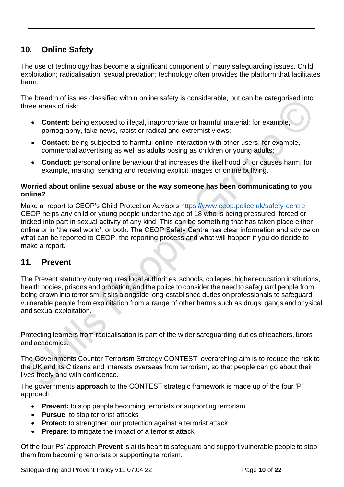## **10. Online Safety**

The use of technology has become a significant component of many safeguarding issues. Child exploitation; radicalisation; sexual predation; technology often provides the platform that facilitates harm.

The breadth of issues classified within online safety is considerable, but can be categorised into three areas of risk:

- **Content:** being exposed to illegal, inappropriate or harmful material; for example, pornography, fake news, racist or radical and extremist views;
- **Contact:** being subjected to harmful online interaction with other users; for example, commercial advertising as well as adults posing as children or young adults;
- **Conduct**: personal online behaviour that increases the likelihood of, or causes harm; for example, making, sending and receiving explicit images or online bullying.

#### **Worried about online sexual abuse or the way someone has been communicating to you online?**

Make a report to CEOP's Child Protection Advisors <https://www.ceop.police.uk/safety-centre> CEOP helps any child or young people under the age of 18 who is being pressured, forced or tricked into part in sexual activity of any kind. This can be something that has taken place either online or in 'the real world', or both. The CEOP Safety Centre has clear information and advice on what can be reported to CEOP, the reporting process and what will happen if you do decide to make a report.

## **11. Prevent**

The Prevent statutory duty requires local authorities, schools, colleges, higher education institutions, health bodies, prisons and probation, and the police to consider the need to safeguard people from being drawn into terrorism. It sits alongside long-established duties on professionals to safeguard vulnerable people from exploitation from a range of other harms such as drugs, gangs and physical and sexual exploitation.

Protecting learners from radicalisation is part of the wider safeguarding duties of teachers, tutors and academics.

The Governments Counter Terrorism Strategy CONTEST' overarching aim is to reduce the risk to the UK and its Citizens and interests overseas from terrorism, so that people can go about their lives freely and with confidence.

The governments **approach** to the CONTEST strategic framework is made up of the four 'P' approach:

- **Prevent:** to stop people becoming terrorists or supporting terrorism
- **Pursue**: to stop terrorist attacks
- **Protect:** to strengthen our protection against a terrorist attack
- **Prepare:** to mitigate the impact of a terrorist attack

Of the four Ps' approach **Prevent** is at its heart to safeguard and support vulnerable people to stop them from becoming terrorists or supporting terrorism.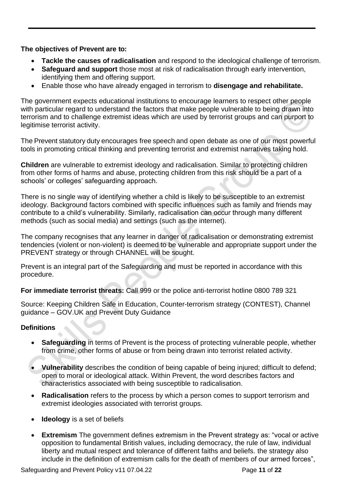**The objectives of Prevent are to:**

- **Tackle the causes of radicalisation** and respond to the ideological challenge of terrorism.
- **Safeguard and support** those most at risk of radicalisation through early intervention, identifying them and offering support.
- Enable those who have already engaged in terrorism to **disengage and rehabilitate.**

The government expects educational institutions to encourage learners to respect other people with particular regard to understand the factors that make people vulnerable to being drawn into terrorism and to challenge extremist ideas which are used by terrorist groups and can purport to legitimise terrorist activity.

The Prevent statutory duty encourages free speech and open debate as one of our most powerful tools in promoting critical thinking and preventing terrorist and extremist narratives taking hold.

**Children** are vulnerable to extremist ideology and radicalisation. Similar to protecting children from other forms of harms and abuse, protecting children from this risk should be a part of a schools' or colleges' safeguarding approach.

There is no single way of identifying whether a child is likely to be susceptible to an extremist ideology. Background factors combined with specific influences such as family and friends may contribute to a child's vulnerability. Similarly, radicalisation can occur through many different methods (such as social media) and settings (such as the internet).

The company recognises that any learner in danger of radicalisation or demonstrating extremist tendencies (violent or non-violent) is deemed to be vulnerable and appropriate support under the PREVENT strategy or through CHANNEL will be sought.

Prevent is an integral part of the Safeguarding and must be reported in accordance with this procedure.

**For immediate terrorist threats:** Call 999 or the police anti-terrorist hotline 0800 789 321

Source: Keeping Children Safe in Education, Counter-terrorism strategy (CONTEST), Channel guidance – GOV.UK and Prevent Duty Guidance

#### **Definitions**

- **Safeguarding** in terms of Prevent is the process of protecting vulnerable people, whether from crime, other forms of abuse or from being drawn into terrorist related activity.
- **Vulnerability** describes the condition of being capable of being injured; difficult to defend; open to moral or ideological attack. Within Prevent, the word describes factors and characteristics associated with being susceptible to radicalisation.
- **Radicalisation** refers to the process by which a person comes to support terrorism and extremist ideologies associated with terrorist groups.
- **Ideology** is a set of beliefs
- **Extremism** The government defines extremism in the Prevent strategy as: "vocal or active opposition to fundamental British values, including democracy, the rule of law, individual liberty and mutual respect and tolerance of different faiths and beliefs. the strategy also include in the definition of extremism calls for the death of members of our armed forces",

Safeguarding and Prevent Policy v11 07.04.22 Page **11** of **22**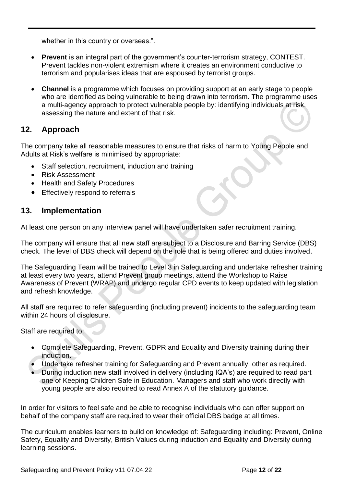whether in this country or overseas.".

- **Prevent** is an integral part of the government's counter-terrorism strategy, CONTEST. Prevent tackles non-violent extremism where it creates an environment conductive to terrorism and popularises ideas that are espoused by terrorist groups.
- **Channel** is a programme which focuses on providing support at an early stage to people who are identified as being vulnerable to being drawn into terrorism. The programme uses a multi-agency approach to protect vulnerable people by: identifying individuals at risk. assessing the nature and extent of that risk.

### **12. Approach**

The company take all reasonable measures to ensure that risks of harm to Young People and Adults at Risk's welfare is minimised by appropriate:

- Staff selection, recruitment, induction and training
- Risk Assessment
- Health and Safety Procedures
- Effectively respond to referrals

#### **13. Implementation**

At least one person on any interview panel will have undertaken safer recruitment training.

The company will ensure that all new staff are subject to a Disclosure and Barring Service (DBS) check. The level of DBS check will depend on the role that is being offered and duties involved.

The Safeguarding Team will be trained to Level 3 in Safeguarding and undertake refresher training at least every two years, attend Prevent group meetings, attend the Workshop to Raise Awareness of Prevent (WRAP) and undergo regular CPD events to keep updated with legislation and refresh knowledge.

All staff are required to refer safeguarding (including prevent) incidents to the safeguarding team within 24 hours of disclosure.

Staff are required to:

- Complete Safeguarding, Prevent, GDPR and Equality and Diversity training during their induction.
- Undertake refresher training for Safeguarding and Prevent annually, other as required.
- During induction new staff involved in delivery (including IQA's) are required to read part one of Keeping Children Safe in Education. Managers and staff who work directly with young people are also required to read Annex A of the statutory guidance.

In order for visitors to feel safe and be able to recognise individuals who can offer support on behalf of the company staff are required to wear their official DBS badge at all times.

The curriculum enables learners to build on knowledge of: Safeguarding including: Prevent, Online Safety, Equality and Diversity, British Values during induction and Equality and Diversity during learning sessions.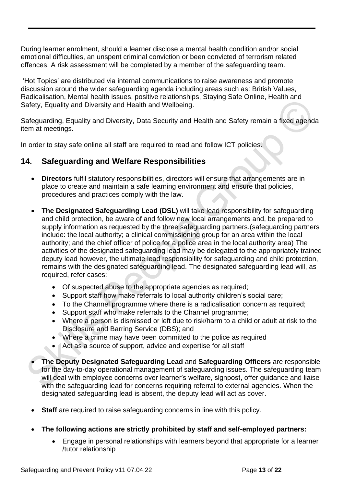During learner enrolment, should a learner disclose a mental health condition and/or social emotional difficulties, an unspent criminal conviction or been convicted of terrorism related offences. A risk assessment will be completed by a member of the safeguarding team.

'Hot Topics' are distributed via internal communications to raise awareness and promote discussion around the wider safeguarding agenda including areas such as: British Values, Radicalisation, Mental health issues, positive relationships, Staying Safe Online, Health and Safety, Equality and Diversity and Health and Wellbeing.

Safeguarding, Equality and Diversity, Data Security and Health and Safety remain a fixed agenda item at meetings.

In order to stay safe online all staff are required to read and follow ICT policies.

## **14. Safeguarding and Welfare Responsibilities**

- **Directors** fulfil statutory responsibilities, directors will ensure that arrangements are in place to create and maintain a safe learning environment and ensure that policies, procedures and practices comply with the law.
- **The Designated Safeguarding Lead (DSL)** will take lead responsibility for safeguarding and child protection, be aware of and follow new local arrangements and, be prepared to supply information as requested by the three safeguarding partners.(safeguarding partners include: the local authority; a clinical commissioning group for an area within the local authority; and the chief officer of police for a police area in the local authority area) The activities of the designated safeguarding lead may be delegated to the appropriately trained deputy lead however, the ultimate lead responsibility for safeguarding and child protection, remains with the designated safeguarding lead. The designated safeguarding lead will, as required, refer cases:
	- Of suspected abuse to the appropriate agencies as required;
	- Support staff how make referrals to local authority children's social care;
	- To the Channel programme where there is a radicalisation concern as required;
	- Support staff who make referrals to the Channel programme;
	- Where a person is dismissed or left due to risk/harm to a child or adult at risk to the Disclosure and Barring Service (DBS); and
	- Where a crime may have been committed to the police as required
	- Act as a source of support, advice and expertise for all staff
- **The Deputy Designated Safeguarding Lead** and **Safeguarding Officers** are responsible for the day-to-day operational management of safeguarding issues. The safeguarding team will deal with employee concerns over learner's welfare, signpost, offer quidance and liaise with the safeguarding lead for concerns requiring referral to external agencies. When the designated safeguarding lead is absent, the deputy lead will act as cover.
- **Staff** are required to raise safeguarding concerns in line with this policy.
- **The following actions are strictly prohibited by staff and self-employed partners:**
	- Engage in personal relationships with learners beyond that appropriate for a learner /tutor relationship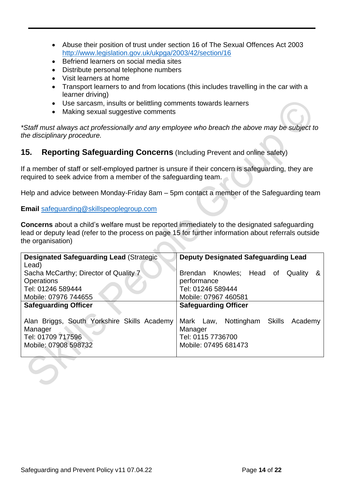- Abuse their position of trust under section 16 of The Sexual Offences Act 2003 <http://www.legislation.gov.uk/ukpga/2003/42/section/16>
- Befriend learners on social media sites
- Distribute personal telephone numbers
- Visit learners at home
- Transport learners to and from locations (this includes travelling in the car with a learner driving)
- Use sarcasm, insults or belittling comments towards learners
- Making sexual suggestive comments

*\*Staff must always act professionally and any employee who breach the above may be subject to the disciplinary procedure.*

## **15. Reporting Safeguarding Concerns** (Including Prevent and online safety)

If a member of staff or self-employed partner is unsure if their concern is safeguarding, they are required to seek advice from a member of the safeguarding team.

Help and advice between Monday-Friday 8am – 5pm contact a member of the Safeguarding team

#### **Email** [safeguarding@skillspeoplegroup.com](mailto:safeguarding@skillspeoplegroup.com)

**Concerns** about a child's welfare must be reported immediately to the designated safeguarding lead or deputy lead (refer to the process on page 15 for further information about referrals outside the organisation)

| <b>Designated Safeguarding Lead (Strategic</b> | <b>Deputy Designated Safeguarding Lead</b> |  |  |  |  |
|------------------------------------------------|--------------------------------------------|--|--|--|--|
| Lead)                                          |                                            |  |  |  |  |
| Sacha McCarthy; Director of Quality 7          | Brendan Knowles; Head of<br>Quality<br>&   |  |  |  |  |
| <b>Operations</b>                              | performance                                |  |  |  |  |
| Tel: 01246 589444                              | Tel: 01246 589444                          |  |  |  |  |
| Mobile: 07976 744655                           | Mobile: 07967 460581                       |  |  |  |  |
| <b>Safeguarding Officer</b>                    | <b>Safeguarding Officer</b>                |  |  |  |  |
|                                                |                                            |  |  |  |  |
| Alan Briggs, South Yorkshire Skills Academy    | Mark Law, Nottingham Skills Academy        |  |  |  |  |
| Manager                                        | Manager                                    |  |  |  |  |
| Tel: 01709 717596                              | Tel: 0115 7736700                          |  |  |  |  |
| Mobile: 07908 598732                           | Mobile: 07495 681473                       |  |  |  |  |
|                                                |                                            |  |  |  |  |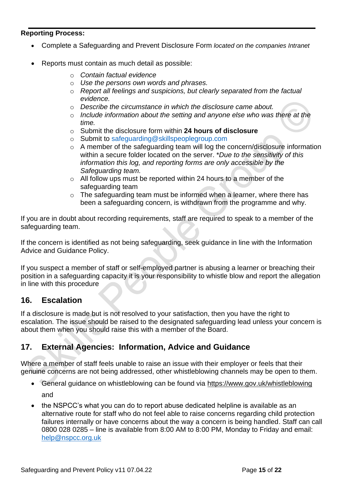#### **Reporting Process:**

- Complete a Safeguarding and Prevent Disclosure Form *located on the companies Intranet*
- Reports must contain as much detail as possible:
	- o *Contain factual evidence*
	- o *Use the persons own words and phrases.*
	- o *Report all feelings and suspicions, but clearly separated from the factual evidence.*
	- o *Describe the circumstance in which the disclosure came about.*
	- o *Include information about the setting and anyone else who was there at the time.*
	- o Submit the disclosure form within **24 hours of disclosure**
	- o Submit to [safeguarding@skillspeoplegroup.com](mailto:safeguarding@skillspeoplegroup.com)
	- o A member of the safeguarding team will log the concern/disclosure information within a secure folder located on the server. \**Due to the sensitivity of this information this log, and reporting forms are only accessible by the Safeguarding team.*
	- o All follow ups must be reported within 24 hours to a member of the safeguarding team
	- o The safeguarding team must be informed when a learner, where there has been a safeguarding concern, is withdrawn from the programme and why.

If you are in doubt about recording requirements, staff are required to speak to a member of the safeguarding team.

If the concern is identified as not being safeguarding, seek guidance in line with the Information Advice and Guidance Policy.

If you suspect a member of staff or self-employed partner is abusing a learner or breaching their position in a safeguarding capacity it is your responsibility to whistle blow and report the allegation in line with this procedure

#### **16. Escalation**

If a disclosure is made but is not resolved to your satisfaction, then you have the right to escalation. The issue should be raised to the designated safeguarding lead unless your concern is about them when you should raise this with a member of the Board.

## **17. External Agencies: Information, Advice and Guidance**

Where a member of staff feels unable to raise an issue with their employer or feels that their genuine concerns are not being addressed, other whistleblowing channels may be open to them.

- General guidance on whistleblowing can be found via<https://www.gov.uk/whistleblowing> and
- the NSPCC's what you can do to report abuse dedicated helpline is available as an alternative route for staff who do not feel able to raise concerns regarding child protection failures internally or have concerns about the way a concern is being handled. Staff can call 0800 028 0285 – line is available from 8:00 AM to 8:00 PM, Monday to Friday and email: [help@nspcc.org.uk](mailto:help@nspcc.org.uk)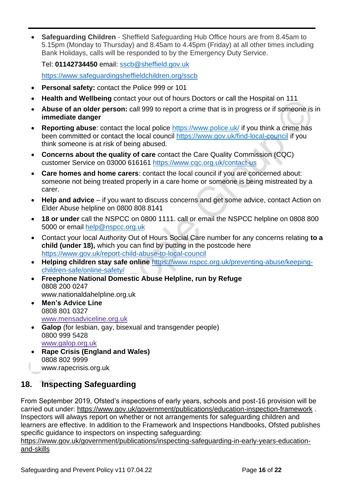• **Safeguarding Children** - Sheffield Safeguarding Hub Office hours are from 8.45am to 5.15pm (Monday to Thursday) and 8.45am to 4.45pm (Friday) at all other times including Bank Holidays, calls will be responded to by the Emergency Duty Service.

Tel: **01142734450** email: [sscb@sheffield.gov.uk](mailto:sscb@sheffield.gov.uk) 

<https://www.safeguardingsheffieldchildren.org/sscb>

- **Personal safety:** contact the Police 999 or 101
- **Health and Wellbeing** contact your out of hours Doctors or call the Hospital on 111
- **Abuse of an older person:** call 999 to report a crime that is in progress or if someone is in **immediate danger**
- **Reporting abuse**: contact the local police<https://www.police.uk/> if you think a crime has been committed or contact the local council<https://www.gov.uk/find-local-council> if you think someone is at risk of being abused.
- **Concerns about the quality of care** contact the Care Quality Commission (CQC) customer Service on 03000 616161<https://www.cqc.org.uk/contact-us>
- **Care homes and home carers**: contact the local council if you are concerned about: someone not being treated properly in a care home or someone is being mistreated by a carer.
- **Help and advice** if you want to discuss concerns and get some advice, contact Action on Elder Abuse helpline on 0800 808 8141
- **18 or under** call the NSPCC on 0800 1111. call or email the NSPCC helpline on 0808 800 5000 or email [help@nspcc.org.uk](mailto:help@nspcc.org.uk)
- Contact your local Authority Out of Hours Social Care number for any concerns relating **to a child (under 18),** which you can find by putting in the postcode here <https://www.gov.uk/report-child-abuse-to-local-council>
- **Helping children stay safe online** [https://www.nspcc.org.uk/preventing-abuse/keeping](https://www.nspcc.org.uk/preventing-abuse/keeping-children-safe/online-safety/)[children-safe/online-safety/](https://www.nspcc.org.uk/preventing-abuse/keeping-children-safe/online-safety/)
- **Freephone National Domestic Abuse Helpline, run by Refuge** 0808 200 0247 [www.nationaldahelpline.org.uk](http://www.nationaldahelpline.org.uk/)
- **Men's Advice Line** 0808 801 0327 [www.mensadviceline.org.uk](http://www.mensadviceline.org.uk/)
- **Galop** (for lesbian, gay, bisexual and transgender people) 0800 999 5428 [www.galop.org.uk](http://www.galop.org.uk/)
- **Rape Crisis (England and Wales)** 0808 802 9999 [www.rapecrisis.org.uk](https://rapecrisis.org.uk/)

## **18. Inspecting Safeguarding**

From September 2019, Ofsted's inspections of early years, schools and post-16 provision will be carried out under:<https://www.gov.uk/government/publications/education-inspection-framework>. Inspectors will always report on whether or not arrangements for safeguarding children and learners are effective. In addition to the Framework and Inspections Handbooks, Ofsted publishes specific guidance to inspectors on inspecting safeguarding:

[https://www.gov.uk/government/publications/inspecting-safeguarding-in-early-years-education](https://www.gov.uk/government/publications/inspecting-safeguarding-in-early-years-education-and-skills)[and-skills](https://www.gov.uk/government/publications/inspecting-safeguarding-in-early-years-education-and-skills)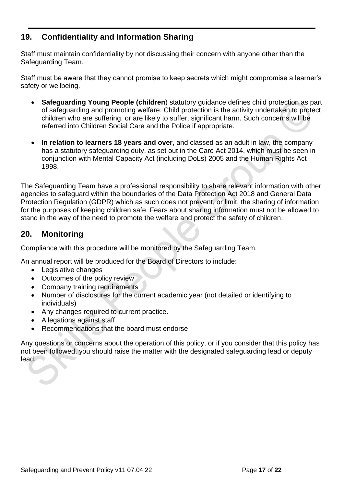## **19. Confidentiality and Information Sharing**

Staff must maintain confidentiality by not discussing their concern with anyone other than the Safeguarding Team.

Staff must be aware that they cannot promise to keep secrets which might compromise a learner's safety or wellbeing.

- **Safeguarding Young People (children**) statutory guidance defines child protection as part of safeguarding and promoting welfare. Child protection is the activity undertaken to protect children who are suffering, or are likely to suffer, significant harm. Such concerns will be referred into Children Social Care and the Police if appropriate.
- **In relation to learners 18 years and over**, and classed as an adult in law, the company has a statutory safeguarding duty, as set out in the Care Act 2014, which must be seen in conjunction with Mental Capacity Act (including DoLs) 2005 and the Human Rights Act 1998.

The Safeguarding Team have a professional responsibility to share relevant information with other agencies to safeguard within the boundaries of the Data Protection Act 2018 and General Data Protection Regulation (GDPR) which as such does not prevent, or limit, the sharing of information for the purposes of keeping children safe. Fears about sharing information must not be allowed to stand in the way of the need to promote the welfare and protect the safety of children.

## **20. Monitoring**

Compliance with this procedure will be monitored by the Safeguarding Team.

An annual report will be produced for the Board of Directors to include:

- Legislative changes
- Outcomes of the policy review
- Company training requirements
- Number of disclosures for the current academic year (not detailed or identifying to individuals)
- Any changes required to current practice.
- Allegations against staff
- Recommendations that the board must endorse

Any questions or concerns about the operation of this policy, or if you consider that this policy has not been followed, you should raise the matter with the designated safeguarding lead or deputy lead.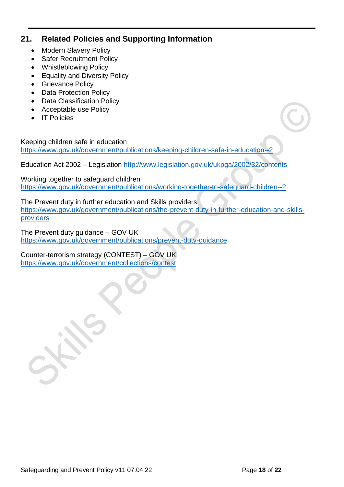## **21. Related Policies and Supporting Information**

- Modern Slavery Policy
- Safer Recruitment Policy
- Whistleblowing Policy
- Equality and Diversity Policy
- Grievance Policy
- Data Protection Policy
- Data Classification Policy
- Acceptable use Policy
- IT Policies

Keeping children safe in education <https://www.gov.uk/government/publications/keeping-children-safe-in-education--2>

Education Act 2002 – Legislation <http://www.legislation.gov.uk/ukpga/2002/32/contents>

Working together to safeguard children <https://www.gov.uk/government/publications/working-together-to-safeguard-children--2>

The Prevent duty in further education and Skills providers [https://www.gov.uk/government/publications/the-prevent-duty-in-further-education-and-skills](https://www.gov.uk/government/publications/the-prevent-duty-in-further-education-and-skills-providers)[providers](https://www.gov.uk/government/publications/the-prevent-duty-in-further-education-and-skills-providers)

The Prevent duty guidance – GOV UK <https://www.gov.uk/government/publications/prevent-duty-guidance>

Counter-terrorism strategy (CONTEST) – GOV UK <https://www.gov.uk/government/collections/contest>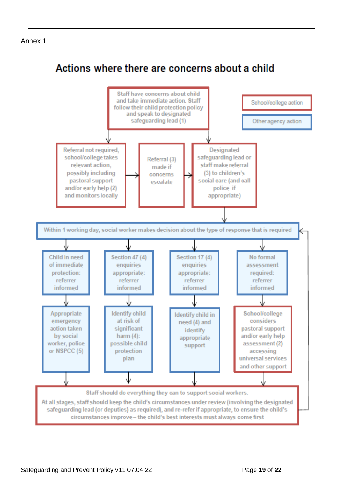#### Annex 1

## Actions where there are concerns about a child

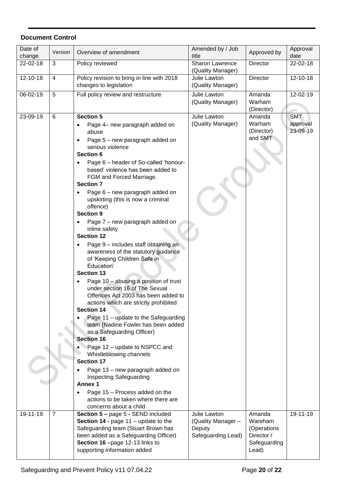#### **Document Control**

| Date of  | Version        | Overview of amendment                                                      | Amended by / Job                            | Approved by     | Approval   |
|----------|----------------|----------------------------------------------------------------------------|---------------------------------------------|-----------------|------------|
| change   |                |                                                                            | title                                       |                 | date       |
| 22-02-18 | 3              | Policy reviewed                                                            | <b>Sharon Lawrence</b><br>(Quality Manager) | Director        | 22-02-18   |
| 12-10-18 | 4              | Policy revision to bring in line with 2018                                 | Julie Lawton                                | <b>Director</b> | 12-10-18   |
|          |                | changes to legislation                                                     | (Quality Manager)                           |                 |            |
| 06-02-19 | 5              | Full policy review and restructure                                         | Julie Lawton                                | Amanda          | 12-02-19   |
|          |                |                                                                            | (Quality Manager)                           | Warham          |            |
|          |                |                                                                            |                                             | (Director)      |            |
| 23-09-19 | 6              | <b>Section 5</b>                                                           | Julie Lawton                                | Amanda          | <b>SMT</b> |
|          |                | Page 4– new paragraph added on                                             | (Quality Manager)                           | Warham          | approval   |
|          |                | abuse                                                                      |                                             | (Director)      | 23-09-19   |
|          |                | Page 5 - new paragraph added on                                            |                                             | and SMT         |            |
|          |                | serious violence                                                           |                                             |                 |            |
|          |                | <b>Section 6</b>                                                           |                                             |                 |            |
|          |                | Page 6 - header of So-called 'honour-<br>based' violence has been added to |                                             |                 |            |
|          |                | FGM and Forced Marriage.                                                   |                                             |                 |            |
|          |                | <b>Section 7</b>                                                           |                                             |                 |            |
|          |                | Page 6 - new paragraph added on                                            |                                             |                 |            |
|          |                | upskirting (this is now a criminal                                         |                                             |                 |            |
|          |                | offence)                                                                   |                                             |                 |            |
|          |                | <b>Section 9</b>                                                           |                                             |                 |            |
|          |                | Page 7 – new paragraph added on                                            |                                             |                 |            |
|          |                | inline safety                                                              |                                             |                 |            |
|          |                | <b>Section 12</b>                                                          |                                             |                 |            |
|          |                | Page 9 - includes staff obtaining an                                       |                                             |                 |            |
|          |                | awareness of the statutory guidance<br>of 'Keeping Children Safe in        |                                             |                 |            |
|          |                | Education'                                                                 |                                             |                 |            |
|          |                | <b>Section 13</b>                                                          |                                             |                 |            |
|          |                | Page 10 – abusing a position of trust                                      |                                             |                 |            |
|          |                | under section 16 of The Sexual                                             |                                             |                 |            |
|          |                | Offences Act 2003 has been added to                                        |                                             |                 |            |
|          |                | actions which are strictly prohibited                                      |                                             |                 |            |
|          |                | <b>Section 14</b>                                                          |                                             |                 |            |
|          |                | Page 11 - update to the Safeguarding<br>team (Nadine Fowler has been added |                                             |                 |            |
|          |                | as a Safeguarding Officer)                                                 |                                             |                 |            |
|          |                | <b>Section 16</b>                                                          |                                             |                 |            |
|          |                | Page 12 - update to NSPCC and                                              |                                             |                 |            |
|          |                | Whistleblowing channels                                                    |                                             |                 |            |
|          |                | <b>Section 17</b>                                                          |                                             |                 |            |
|          |                | Page 13 - new paragraph added on                                           |                                             |                 |            |
|          |                | Inspecting Safeguarding                                                    |                                             |                 |            |
|          |                | <b>Annex 1</b>                                                             |                                             |                 |            |
|          |                | Page 15 - Process added on the                                             |                                             |                 |            |
|          |                | actions to be taken where there are<br>concerns about a child              |                                             |                 |            |
| 19-11-19 | $\overline{7}$ | Section 5 - page 5 - SEND included                                         | Julie Lawton                                | Amanda          | 19-11-19   |
|          |                | <b>Section 14 - page 11 - update to the</b>                                | (Quality Manager -                          | Wareham         |            |
|          |                | Safeguarding team (Stuart Brown has                                        | Deputy                                      | (Operations     |            |
|          |                | been added as a Safeguarding Officer)                                      | Safeguarding Lead)                          | Director /      |            |
|          |                | Section 16-page 12-13 links to                                             |                                             | Safeguarding    |            |
|          |                | supporting information added                                               |                                             | Lead)           |            |
|          |                |                                                                            |                                             |                 |            |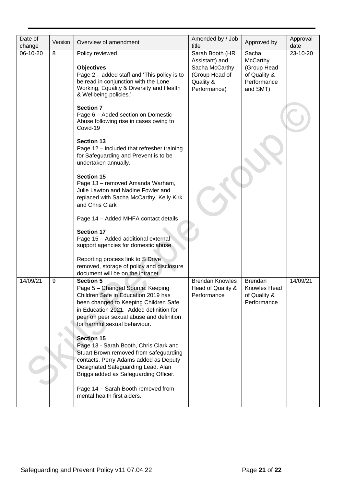| Date of<br>change | Version | Overview of amendment                                                                                                                                                                                                                                                                                                       | Amended by / Job<br>title                                  | Approved by                                                   | Approval<br>date |
|-------------------|---------|-----------------------------------------------------------------------------------------------------------------------------------------------------------------------------------------------------------------------------------------------------------------------------------------------------------------------------|------------------------------------------------------------|---------------------------------------------------------------|------------------|
| 06-10-20          | 8       | Policy reviewed<br><b>Objectives</b>                                                                                                                                                                                                                                                                                        | Sarah Booth (HR<br>Assistant) and<br>Sacha McCarthy        | Sacha<br>McCarthy<br>(Group Head                              | 23-10-20         |
|                   |         | Page 2 – added staff and 'This policy is to<br>be read in conjunction with the Lone<br>Working, Equality & Diversity and Health<br>& Wellbeing policies.'                                                                                                                                                                   | (Group Head of<br>Quality &<br>Performance)                | of Quality &<br>Performance<br>and SMT)                       |                  |
|                   |         | <b>Section 7</b><br>Page 6 - Added section on Domestic<br>Abuse following rise in cases owing to<br>Covid-19                                                                                                                                                                                                                |                                                            |                                                               |                  |
|                   |         | <b>Section 13</b><br>Page 12 - included that refresher training<br>for Safeguarding and Prevent is to be<br>undertaken annually.                                                                                                                                                                                            |                                                            |                                                               |                  |
|                   |         | <b>Section 15</b><br>Page 13 - removed Amanda Warham,<br>Julie Lawton and Nadine Fowler and<br>replaced with Sacha McCarthy, Kelly Kirk<br>and Chris Clark                                                                                                                                                                  |                                                            |                                                               |                  |
|                   |         | Page 14 - Added MHFA contact details                                                                                                                                                                                                                                                                                        |                                                            |                                                               |                  |
|                   |         | <b>Section 17</b><br>Page 15 - Added additional external<br>support agencies for domestic abuse                                                                                                                                                                                                                             |                                                            |                                                               |                  |
|                   |         | Reporting process link to S Drive<br>removed, storage of policy and disclosure<br>document will be on the intranet                                                                                                                                                                                                          |                                                            |                                                               |                  |
| 14/09/21          | 9       | <b>Section 5</b><br>Page 5 - Changed Source: Keeping<br>Children Safe in Education 2019 has<br>been changed to Keeping Children Safe<br>in Education 2021. Added definition for<br>peer on peer sexual abuse and definition<br>for harmful sexual behaviour.<br><b>Section 15</b><br>Page 13 - Sarah Booth, Chris Clark and | <b>Brendan Knowles</b><br>Head of Quality &<br>Performance | <b>Brendan</b><br>Knowles Head<br>of Quality &<br>Performance | 14/09/21         |
|                   |         | Stuart Brown removed from safeguarding<br>contacts. Perry Adams added as Deputy<br>Designated Safeguarding Lead. Alan<br>Briggs added as Safeguarding Officer.                                                                                                                                                              |                                                            |                                                               |                  |
|                   |         | Page 14 - Sarah Booth removed from<br>mental health first aiders.                                                                                                                                                                                                                                                           |                                                            |                                                               |                  |